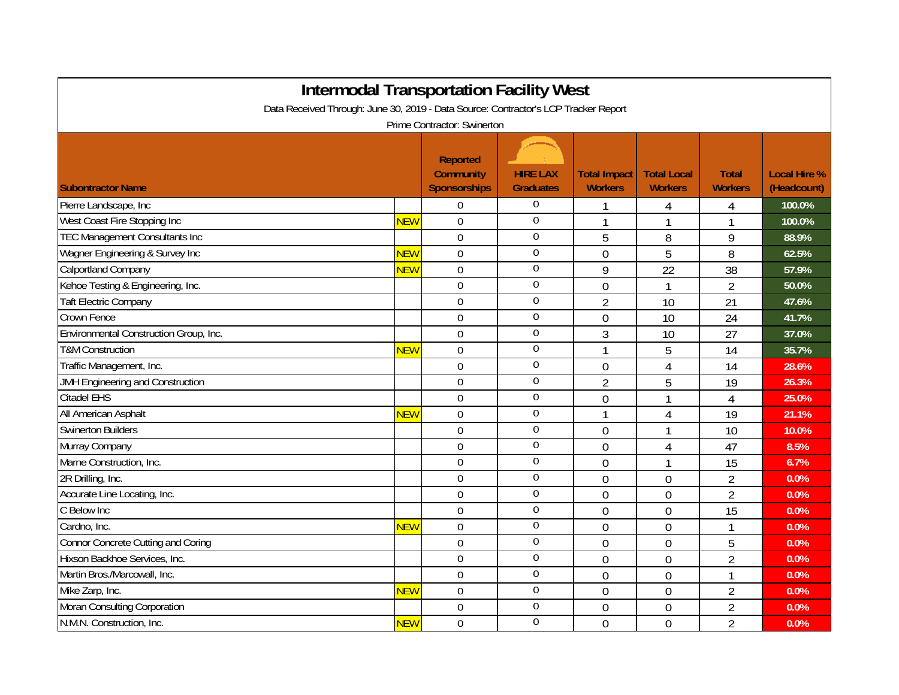| <b>Intermodal Transportation Facility West</b>                                      |            |                                                     |                                     |                                       |                                      |                                |                                    |  |  |  |  |  |
|-------------------------------------------------------------------------------------|------------|-----------------------------------------------------|-------------------------------------|---------------------------------------|--------------------------------------|--------------------------------|------------------------------------|--|--|--|--|--|
| Data Received Through: June 30, 2019 - Data Source: Contractor's LCP Tracker Report |            |                                                     |                                     |                                       |                                      |                                |                                    |  |  |  |  |  |
| Prime Contractor: Swinerton                                                         |            |                                                     |                                     |                                       |                                      |                                |                                    |  |  |  |  |  |
| <b>Subontractor Name</b>                                                            |            | Reported<br><b>Community</b><br><b>Sponsorships</b> | <b>HIRE LAX</b><br><b>Graduates</b> | <b>Total Impact</b><br><b>Workers</b> | <b>Total Local</b><br><b>Workers</b> | <b>Total</b><br><b>Workers</b> | <b>Local Hire %</b><br>(Headcount) |  |  |  |  |  |
| Pierre Landscape, Inc                                                               |            | $\Omega$                                            | $\overline{0}$                      |                                       | 4                                    | 4                              | 100.0%                             |  |  |  |  |  |
| West Coast Fire Stopping Inc                                                        | <b>NEW</b> | $\overline{0}$                                      | $\mathbf 0$                         |                                       | 1                                    | 1                              | 100.0%                             |  |  |  |  |  |
| <b>TEC Management Consultants Inc</b>                                               |            | $\mathbf 0$                                         | $\boldsymbol{0}$                    | 5                                     | 8                                    | 9                              | 88.9%                              |  |  |  |  |  |
| Wagner Engineering & Survey Inc                                                     | <b>NEW</b> | $\overline{0}$                                      | $\overline{0}$                      | $\overline{0}$                        | 5                                    | 8                              | 62.5%                              |  |  |  |  |  |
| <b>Calportland Company</b>                                                          | <b>NEW</b> | $\overline{0}$                                      | $\boldsymbol{0}$                    | 9                                     | 22                                   | 38                             | 57.9%                              |  |  |  |  |  |
| Kehoe Testing & Engineering, Inc.                                                   |            | $\mathbf 0$                                         | $\mathbf 0$                         | $\overline{0}$                        | 1                                    | $\overline{2}$                 | 50.0%                              |  |  |  |  |  |
| <b>Taft Electric Company</b>                                                        |            | $\mathbf 0$                                         | $\boldsymbol{0}$                    | $\overline{2}$                        | 10                                   | 21                             | 47.6%                              |  |  |  |  |  |
| Crown Fence                                                                         |            | $\mathbf 0$                                         | $\boldsymbol{0}$                    | $\mathbf 0$                           | 10                                   | 24                             | 41.7%                              |  |  |  |  |  |
| Environmental Construction Group, Inc.                                              |            | $\overline{0}$                                      | $\boldsymbol{0}$                    | 3                                     | 10                                   | 27                             | 37.0%                              |  |  |  |  |  |
| <b>T&amp;M Construction</b>                                                         | <b>NEW</b> | $\overline{0}$                                      | $\boldsymbol{0}$                    |                                       | 5                                    | 14                             | 35.7%                              |  |  |  |  |  |
| Traffic Management, Inc.                                                            |            | $\mathbf 0$                                         | $\boldsymbol{0}$                    | $\overline{0}$                        | $\overline{4}$                       | 14                             | 28.6%                              |  |  |  |  |  |
| <b>JMH Engineering and Construction</b>                                             |            | $\overline{0}$                                      | $\overline{0}$                      | $\overline{2}$                        | 5                                    | 19                             | 26.3%                              |  |  |  |  |  |
| <b>Citadel EHS</b>                                                                  |            | $\mathbf 0$                                         | $\mathbf 0$                         | $\overline{0}$                        | 1                                    | $\overline{4}$                 | 25.0%                              |  |  |  |  |  |
| All American Asphalt                                                                | <b>NEW</b> | $\mathbf 0$                                         | $\boldsymbol{0}$                    |                                       | 4                                    | 19                             | 21.1%                              |  |  |  |  |  |
| <b>Swinerton Builders</b>                                                           |            | $\mathbf 0$                                         | $\boldsymbol{0}$                    | $\mathbf 0$                           |                                      | 10                             | 10.0%                              |  |  |  |  |  |
| Murray Company                                                                      |            | $\mathbf 0$                                         | $\mathbf{0}$                        | $\mathbf 0$                           | 4                                    | 47                             | 8.5%                               |  |  |  |  |  |
| Marne Construction, Inc.                                                            |            | $\overline{0}$                                      | $\overline{0}$                      | $\overline{0}$                        | 1                                    | 15                             | 6.7%                               |  |  |  |  |  |
| 2R Drilling, Inc.                                                                   |            | $\overline{0}$                                      | $\overline{0}$                      | $\mathbf 0$                           | $\mathbf 0$                          | $\overline{2}$                 | 0.0%                               |  |  |  |  |  |
| Accurate Line Locating, Inc.                                                        |            | $\overline{0}$                                      | $\boldsymbol{0}$                    | $\overline{0}$                        | $\overline{0}$                       | $\overline{2}$                 | 0.0%                               |  |  |  |  |  |
| C Below Inc                                                                         |            | $\boldsymbol{0}$                                    | $\overline{0}$                      | $\overline{0}$                        | $\overline{0}$                       | 15                             | 0.0%                               |  |  |  |  |  |
| Cardno, Inc.                                                                        | <b>NEW</b> | $\mathbf 0$                                         | $\overline{0}$                      | $\overline{0}$                        | $\overline{0}$                       | 1                              | 0.0%                               |  |  |  |  |  |
| <b>Connor Concrete Cutting and Coring</b>                                           |            | $\mathbf 0$                                         | $\pmb{0}$                           | $\overline{0}$                        | $\overline{0}$                       | 5                              | 0.0%                               |  |  |  |  |  |
| Hixson Backhoe Services, Inc.                                                       |            | $\mathbf 0$                                         | $\boldsymbol{0}$                    | $\overline{0}$                        | $\overline{0}$                       | $\overline{2}$                 | 0.0%                               |  |  |  |  |  |
| Martin Bros./Marcowall, Inc.                                                        |            | $\mathbf 0$                                         | $\boldsymbol{0}$                    | $\overline{0}$                        | $\overline{0}$                       | $\mathbf{1}$                   | 0.0%                               |  |  |  |  |  |
| Mike Zarp, Inc.                                                                     | <b>NEW</b> | $\overline{0}$                                      | $\boldsymbol{0}$                    | $\mathbf 0$                           | $\mathbf 0$                          | $\overline{2}$                 | 0.0%                               |  |  |  |  |  |
| Moran Consulting Corporation                                                        |            | $\overline{0}$                                      | $\boldsymbol{0}$                    | $\mathbf 0$                           | $\mathbf 0$                          | $\overline{2}$                 | 0.0%                               |  |  |  |  |  |
| N.M.N. Construction, Inc.                                                           | <b>NEW</b> | $\Omega$                                            | $\overline{0}$                      | $\overline{0}$                        | $\overline{0}$                       | $\overline{2}$                 | 0.0%                               |  |  |  |  |  |